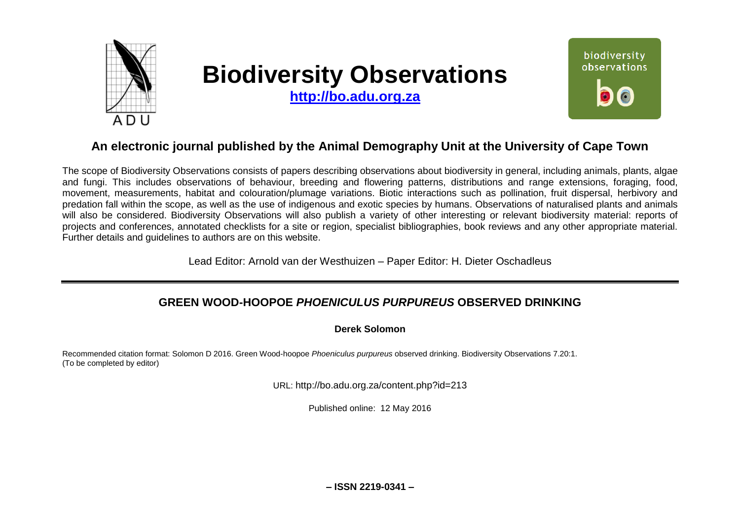

# **Biodiversity Observations**

**[http://bo.adu.org.za](http://bo.adu.org.za/)**



## **An electronic journal published by the Animal Demography Unit at the University of Cape Town**

The scope of Biodiversity Observations consists of papers describing observations about biodiversity in general, including animals, plants, algae and fungi. This includes observations of behaviour, breeding and flowering patterns, distributions and range extensions, foraging, food, movement, measurements, habitat and colouration/plumage variations. Biotic interactions such as pollination, fruit dispersal, herbivory and predation fall within the scope, as well as the use of indigenous and exotic species by humans. Observations of naturalised plants and animals will also be considered. Biodiversity Observations will also publish a variety of other interesting or relevant biodiversity material: reports of projects and conferences, annotated checklists for a site or region, specialist bibliographies, book reviews and any other appropriate material. Further details and guidelines to authors are on this website.

Lead Editor: Arnold van der Westhuizen – Paper Editor: H. Dieter Oschadleus

### **GREEN WOOD-HOOPOE** *PHOENICULUS PURPUREUS* **OBSERVED DRINKING**

**Derek Solomon**

Recommended citation format: Solomon D 2016. Green Wood-hoopoe *Phoeniculus purpureus* observed drinking. Biodiversity Observations 7.20:1. (To be completed by editor)

URL: http://bo.adu.org.za/content.php?id=213

Published online: 12 May 2016

**– ISSN 2219-0341 –**